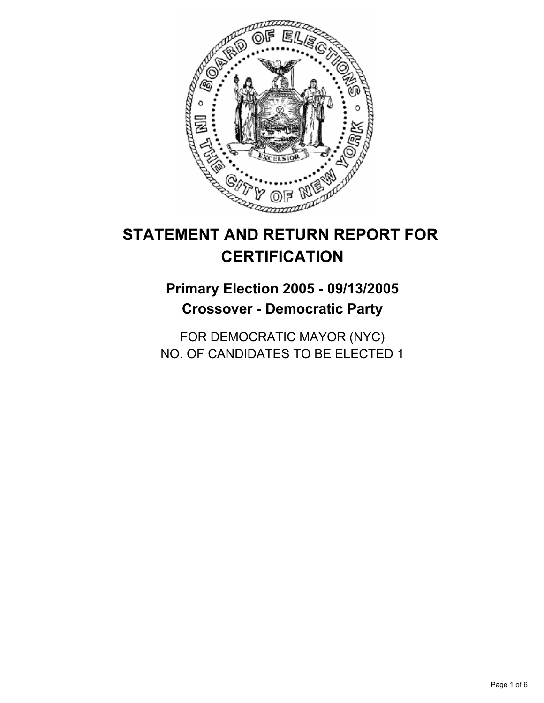

# **STATEMENT AND RETURN REPORT FOR CERTIFICATION**

# **Primary Election 2005 - 09/13/2005 Crossover - Democratic Party**

FOR DEMOCRATIC MAYOR (NYC) NO. OF CANDIDATES TO BE ELECTED 1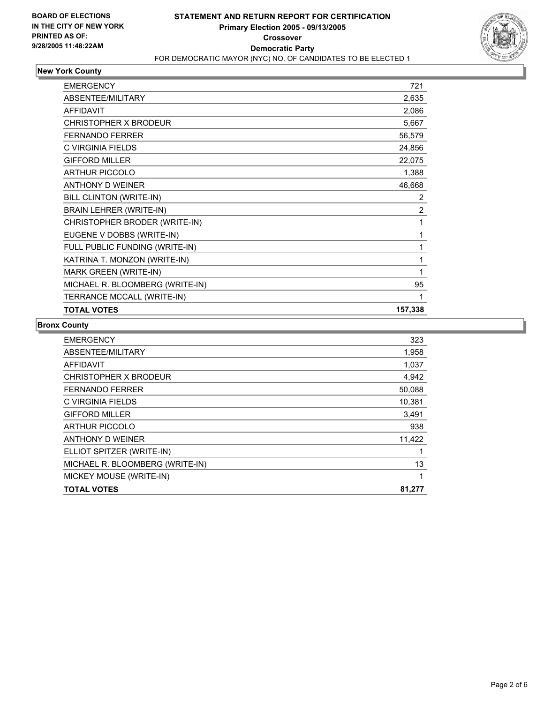

### **New York County**

| <b>EMERGENCY</b>                | 721            |
|---------------------------------|----------------|
| ABSENTEE/MILITARY               | 2,635          |
| <b>AFFIDAVIT</b>                | 2,086          |
| <b>CHRISTOPHER X BRODEUR</b>    | 5,667          |
| <b>FERNANDO FERRER</b>          | 56,579         |
| C VIRGINIA FIELDS               | 24,856         |
| <b>GIFFORD MILLER</b>           | 22,075         |
| <b>ARTHUR PICCOLO</b>           | 1,388          |
| <b>ANTHONY D WEINER</b>         | 46,668         |
| BILL CLINTON (WRITE-IN)         | $\overline{2}$ |
| <b>BRAIN LEHRER (WRITE-IN)</b>  | $\overline{2}$ |
| CHRISTOPHER BRODER (WRITE-IN)   |                |
| EUGENE V DOBBS (WRITE-IN)       |                |
| FULL PUBLIC FUNDING (WRITE-IN)  |                |
| KATRINA T. MONZON (WRITE-IN)    |                |
| <b>MARK GREEN (WRITE-IN)</b>    |                |
| MICHAEL R. BLOOMBERG (WRITE-IN) | 95             |
| TERRANCE MCCALL (WRITE-IN)      |                |
| <b>TOTAL VOTES</b>              | 157,338        |

#### **Bronx County**

| 323    |
|--------|
| 1,958  |
| 1,037  |
| 4,942  |
| 50,088 |
| 10,381 |
| 3,491  |
| 938    |
| 11,422 |
|        |
| 13     |
|        |
| 81,277 |
|        |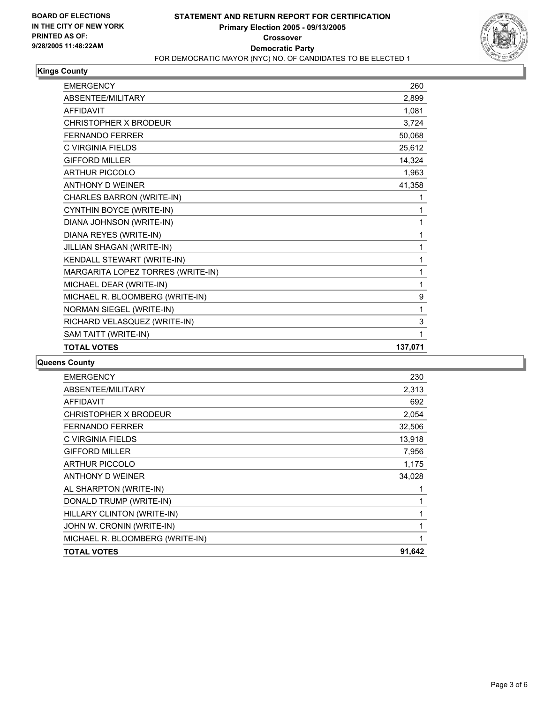

### **Kings County**

| <b>EMERGENCY</b>                  | 260     |
|-----------------------------------|---------|
| ABSENTEE/MILITARY                 | 2,899   |
| <b>AFFIDAVIT</b>                  | 1,081   |
| CHRISTOPHER X BRODEUR             | 3,724   |
| <b>FERNANDO FERRER</b>            | 50,068  |
| C VIRGINIA FIELDS                 | 25,612  |
| <b>GIFFORD MILLER</b>             | 14,324  |
| <b>ARTHUR PICCOLO</b>             | 1,963   |
| <b>ANTHONY D WEINER</b>           | 41,358  |
| CHARLES BARRON (WRITE-IN)         |         |
| CYNTHIN BOYCE (WRITE-IN)          |         |
| DIANA JOHNSON (WRITE-IN)          |         |
| DIANA REYES (WRITE-IN)            |         |
| JILLIAN SHAGAN (WRITE-IN)         |         |
| KENDALL STEWART (WRITE-IN)        |         |
| MARGARITA LOPEZ TORRES (WRITE-IN) |         |
| MICHAEL DEAR (WRITE-IN)           | 1       |
| MICHAEL R. BLOOMBERG (WRITE-IN)   | 9       |
| NORMAN SIEGEL (WRITE-IN)          | 1       |
| RICHARD VELASQUEZ (WRITE-IN)      | 3       |
| SAM TAITT (WRITE-IN)              |         |
| <b>TOTAL VOTES</b>                | 137,071 |

#### **Queens County**

| <b>EMERGENCY</b>                | 230    |
|---------------------------------|--------|
| ABSENTEE/MILITARY               | 2,313  |
| <b>AFFIDAVIT</b>                | 692    |
| CHRISTOPHER X BRODEUR           | 2,054  |
| <b>FERNANDO FERRER</b>          | 32,506 |
| C VIRGINIA FIELDS               | 13,918 |
| <b>GIFFORD MILLER</b>           | 7,956  |
| <b>ARTHUR PICCOLO</b>           | 1,175  |
| ANTHONY D WEINER                | 34,028 |
| AL SHARPTON (WRITE-IN)          |        |
| DONALD TRUMP (WRITE-IN)         |        |
| HILLARY CLINTON (WRITE-IN)      |        |
| JOHN W. CRONIN (WRITE-IN)       |        |
| MICHAEL R. BLOOMBERG (WRITE-IN) |        |
| <b>TOTAL VOTES</b>              | 91,642 |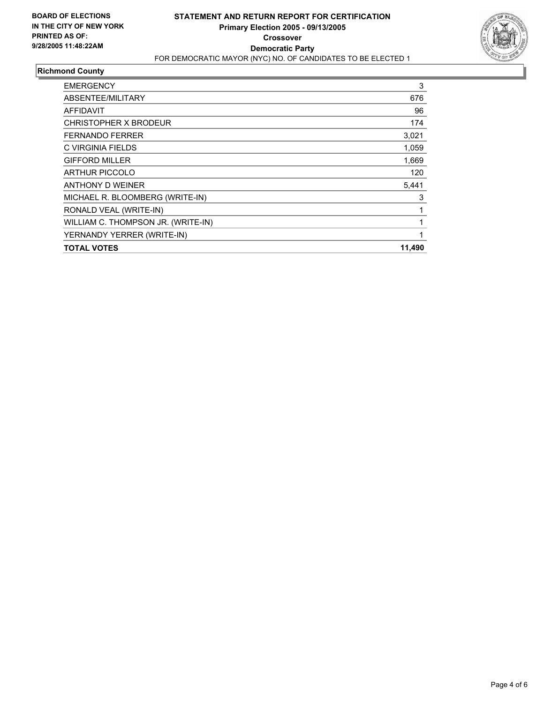

### **Richmond County**

| <b>EMERGENCY</b>                   | 3      |
|------------------------------------|--------|
| ABSENTEE/MILITARY                  | 676    |
| AFFIDAVIT                          | 96     |
| CHRISTOPHER X BRODEUR              | 174    |
| <b>FERNANDO FERRER</b>             | 3,021  |
| C VIRGINIA FIELDS                  | 1,059  |
| <b>GIFFORD MILLER</b>              | 1,669  |
| <b>ARTHUR PICCOLO</b>              | 120    |
| ANTHONY D WEINER                   | 5,441  |
| MICHAEL R. BLOOMBERG (WRITE-IN)    | 3      |
| RONALD VEAL (WRITE-IN)             |        |
| WILLIAM C. THOMPSON JR. (WRITE-IN) |        |
| YERNANDY YERRER (WRITE-IN)         |        |
| <b>TOTAL VOTES</b>                 | 11,490 |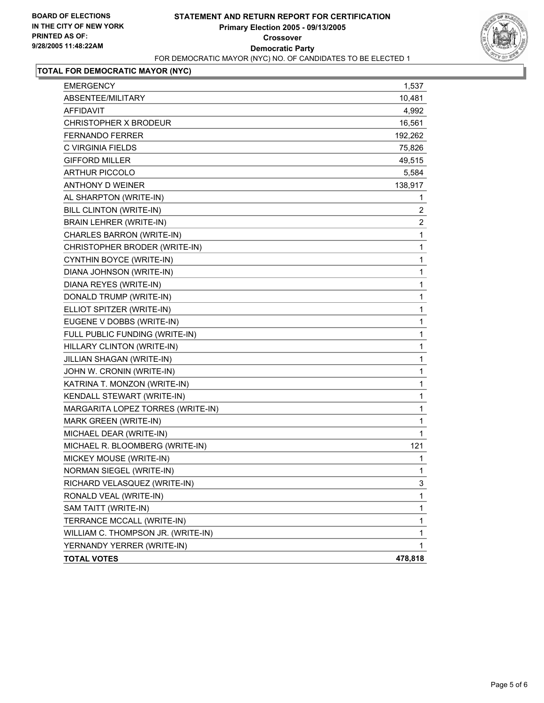

## **TOTAL FOR DEMOCRATIC MAYOR (NYC)**

| <b>EMERGENCY</b>                   | 1,537            |
|------------------------------------|------------------|
| ABSENTEE/MILITARY                  | 10,481           |
| <b>AFFIDAVIT</b>                   | 4,992            |
| CHRISTOPHER X BRODEUR              | 16,561           |
| <b>FERNANDO FERRER</b>             | 192,262          |
| C VIRGINIA FIELDS                  | 75,826           |
| <b>GIFFORD MILLER</b>              | 49,515           |
| <b>ARTHUR PICCOLO</b>              | 5,584            |
| <b>ANTHONY D WEINER</b>            | 138,917          |
| AL SHARPTON (WRITE-IN)             | 1                |
| BILL CLINTON (WRITE-IN)            | 2                |
| <b>BRAIN LEHRER (WRITE-IN)</b>     | $\boldsymbol{2}$ |
| CHARLES BARRON (WRITE-IN)          | $\mathbf 1$      |
| CHRISTOPHER BRODER (WRITE-IN)      | 1                |
| CYNTHIN BOYCE (WRITE-IN)           | 1                |
| DIANA JOHNSON (WRITE-IN)           | 1                |
| DIANA REYES (WRITE-IN)             | 1                |
| DONALD TRUMP (WRITE-IN)            | 1                |
| ELLIOT SPITZER (WRITE-IN)          | $\mathbf 1$      |
| EUGENE V DOBBS (WRITE-IN)          | 1                |
| FULL PUBLIC FUNDING (WRITE-IN)     | 1                |
| HILLARY CLINTON (WRITE-IN)         | 1                |
| JILLIAN SHAGAN (WRITE-IN)          | 1                |
| JOHN W. CRONIN (WRITE-IN)          | 1                |
| KATRINA T. MONZON (WRITE-IN)       | 1                |
| KENDALL STEWART (WRITE-IN)         | 1                |
| MARGARITA LOPEZ TORRES (WRITE-IN)  | $\mathbf{1}$     |
| MARK GREEN (WRITE-IN)              | $\mathbf{1}$     |
| MICHAEL DEAR (WRITE-IN)            | 1                |
| MICHAEL R. BLOOMBERG (WRITE-IN)    | 121              |
| MICKEY MOUSE (WRITE-IN)            | 1                |
| NORMAN SIEGEL (WRITE-IN)           | 1                |
| RICHARD VELASQUEZ (WRITE-IN)       | 3                |
| RONALD VEAL (WRITE-IN)             | 1                |
| SAM TAITT (WRITE-IN)               | 1                |
| TERRANCE MCCALL (WRITE-IN)         | 1                |
| WILLIAM C. THOMPSON JR. (WRITE-IN) | 1                |
| YERNANDY YERRER (WRITE-IN)         | 1                |
| <b>TOTAL VOTES</b>                 | 478,818          |
|                                    |                  |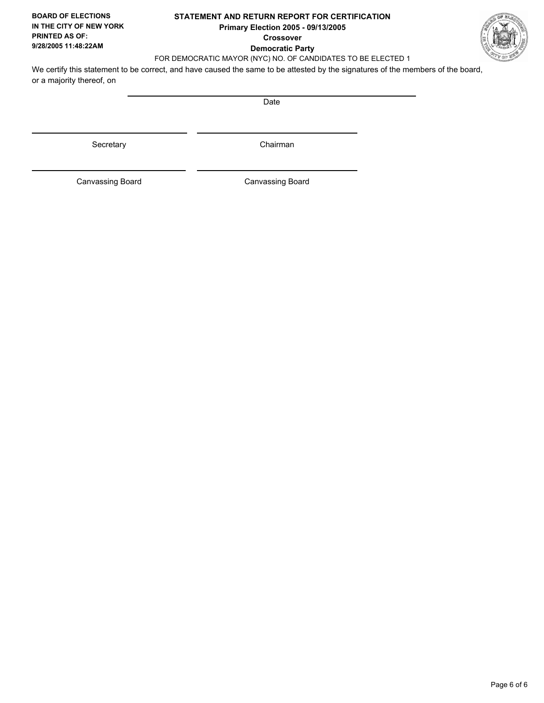### **STATEMENT AND RETURN REPORT FOR CERTIFICATION Primary Election 2005 - 09/13/2005 Crossover Democratic Party**



FOR DEMOCRATIC MAYOR (NYC) NO. OF CANDIDATES TO BE ELECTED 1

We certify this statement to be correct, and have caused the same to be attested by the signatures of the members of the board, or a majority thereof, on

Date

Secretary **Chairman** 

Canvassing Board

Canvassing Board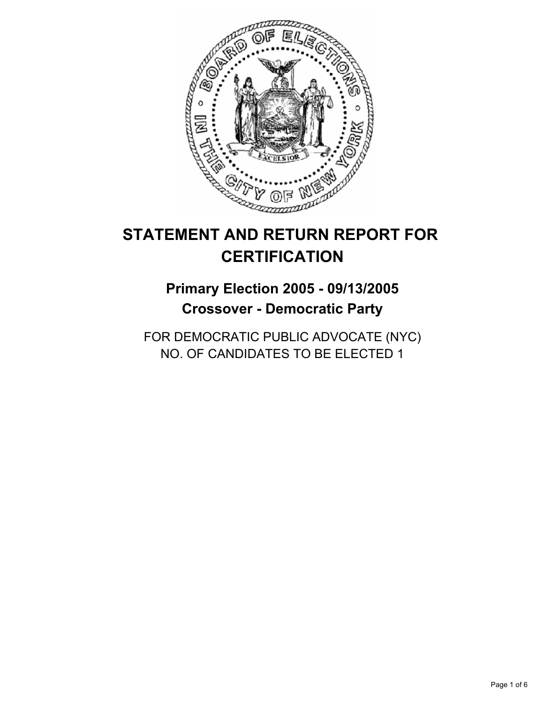

# **STATEMENT AND RETURN REPORT FOR CERTIFICATION**

# **Primary Election 2005 - 09/13/2005 Crossover - Democratic Party**

FOR DEMOCRATIC PUBLIC ADVOCATE (NYC) NO. OF CANDIDATES TO BE ELECTED 1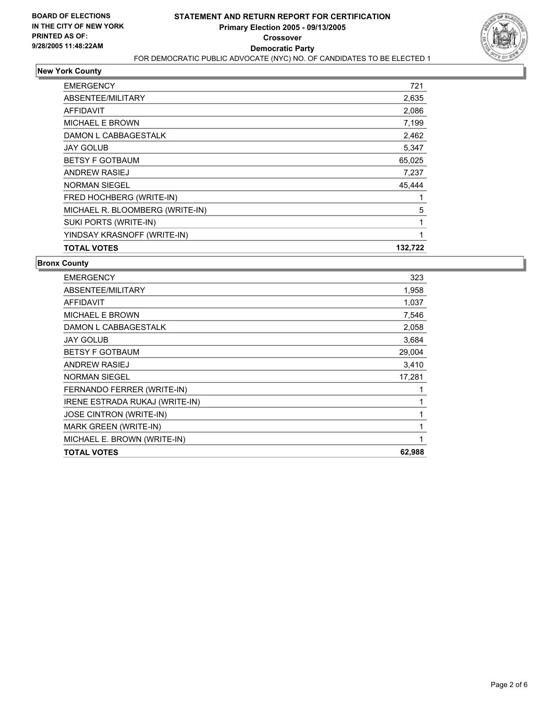

## **New York County**

| <b>EMERGENCY</b>                | 721     |
|---------------------------------|---------|
| ABSENTEE/MILITARY               | 2,635   |
| <b>AFFIDAVIT</b>                | 2,086   |
| <b>MICHAEL E BROWN</b>          | 7,199   |
| DAMON L CABBAGESTALK            | 2,462   |
| <b>JAY GOLUB</b>                | 5,347   |
| <b>BETSY F GOTBAUM</b>          | 65,025  |
| <b>ANDREW RASIEJ</b>            | 7,237   |
| <b>NORMAN SIEGEL</b>            | 45.444  |
| FRED HOCHBERG (WRITE-IN)        |         |
| MICHAEL R. BLOOMBERG (WRITE-IN) | 5       |
| SUKI PORTS (WRITE-IN)           |         |
| YINDSAY KRASNOFF (WRITE-IN)     |         |
| <b>TOTAL VOTES</b>              | 132,722 |

#### **Bronx County**

| 1,958<br>1,037 |
|----------------|
|                |
|                |
| 7,546          |
| 2,058          |
| 3,684          |
| 29,004         |
| 3,410          |
| 17,281         |
|                |
|                |
|                |
|                |
|                |
| 62,988         |
|                |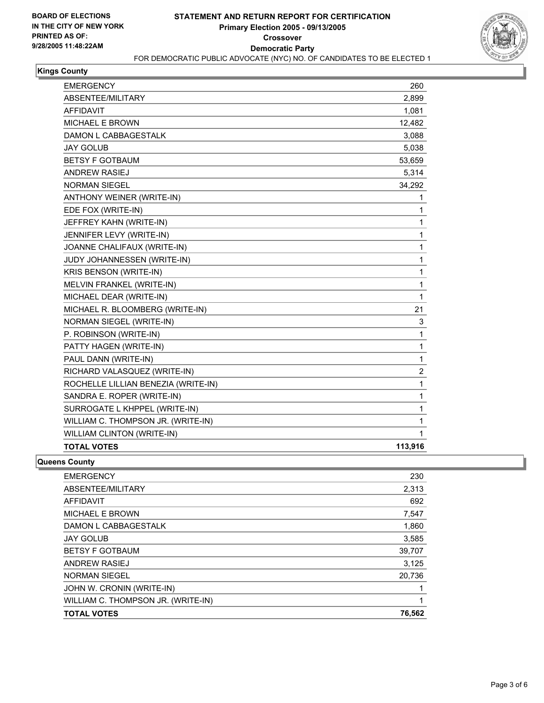

### **Kings County**

| <b>EMERGENCY</b>                    | 260            |
|-------------------------------------|----------------|
| ABSENTEE/MILITARY                   | 2,899          |
| <b>AFFIDAVIT</b>                    | 1,081          |
| MICHAEL E BROWN                     | 12,482         |
| DAMON L CABBAGESTALK                | 3,088          |
| <b>JAY GOLUB</b>                    | 5,038          |
| <b>BETSY F GOTBAUM</b>              | 53,659         |
| <b>ANDREW RASIEJ</b>                | 5,314          |
| <b>NORMAN SIEGEL</b>                | 34,292         |
| ANTHONY WEINER (WRITE-IN)           | 1              |
| EDE FOX (WRITE-IN)                  | 1              |
| JEFFREY KAHN (WRITE-IN)             | 1              |
| JENNIFER LEVY (WRITE-IN)            | 1              |
| JOANNE CHALIFAUX (WRITE-IN)         | 1              |
| JUDY JOHANNESSEN (WRITE-IN)         | 1              |
| KRIS BENSON (WRITE-IN)              | 1              |
| MELVIN FRANKEL (WRITE-IN)           | 1              |
| MICHAEL DEAR (WRITE-IN)             | 1              |
| MICHAEL R. BLOOMBERG (WRITE-IN)     | 21             |
| NORMAN SIEGEL (WRITE-IN)            | 3              |
| P. ROBINSON (WRITE-IN)              | 1              |
| PATTY HAGEN (WRITE-IN)              | 1              |
| PAUL DANN (WRITE-IN)                | 1              |
| RICHARD VALASQUEZ (WRITE-IN)        | $\overline{2}$ |
| ROCHELLE LILLIAN BENEZIA (WRITE-IN) | 1              |
| SANDRA E. ROPER (WRITE-IN)          | 1              |
| SURROGATE L KHPPEL (WRITE-IN)       | 1              |
| WILLIAM C. THOMPSON JR. (WRITE-IN)  | 1              |
| WILLIAM CLINTON (WRITE-IN)          | 1              |
| <b>TOTAL VOTES</b>                  | 113,916        |

#### **Queens County**

| <b>EMERGENCY</b>                   | 230   |
|------------------------------------|-------|
| ABSENTEE/MILITARY                  | 2,313 |
| <b>AFFIDAVIT</b>                   | 692   |
| <b>MICHAEL E BROWN</b>             | 7,547 |
| DAMON L CABBAGESTALK               | 1,860 |
| <b>JAY GOLUB</b>                   | 3,585 |
| <b>BETSY F GOTBAUM</b><br>39,707   |       |
| ANDREW RASIEJ                      | 3,125 |
| 20,736<br><b>NORMAN SIEGEL</b>     |       |
| JOHN W. CRONIN (WRITE-IN)          |       |
| WILLIAM C. THOMPSON JR. (WRITE-IN) |       |
| 76,562<br><b>TOTAL VOTES</b>       |       |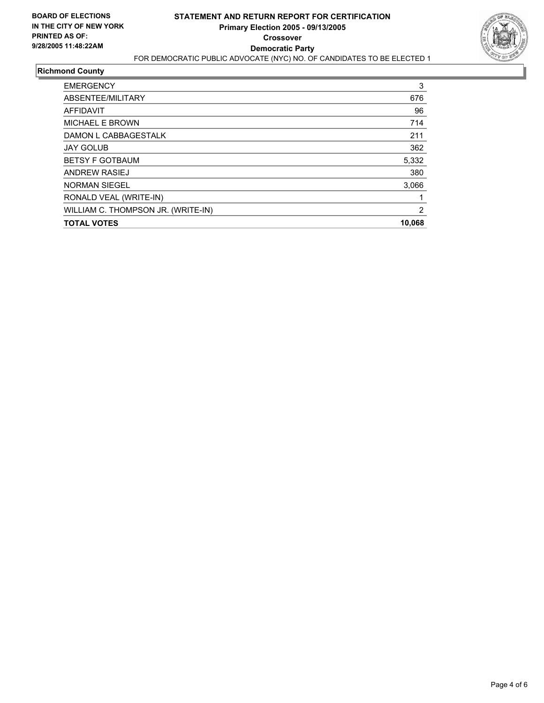

### **Richmond County**

| <b>EMERGENCY</b>                   | 3   |
|------------------------------------|-----|
| ABSENTEE/MILITARY                  | 676 |
| AFFIDAVIT                          | 96  |
| MICHAEL E BROWN                    | 714 |
| DAMON L CABBAGESTALK               | 211 |
| <b>JAY GOLUB</b>                   | 362 |
| <b>BETSY F GOTBAUM</b><br>5,332    |     |
| <b>ANDREW RASIEJ</b>               | 380 |
| <b>NORMAN SIEGEL</b><br>3,066      |     |
| RONALD VEAL (WRITE-IN)             |     |
| WILLIAM C. THOMPSON JR. (WRITE-IN) | 2   |
| 10,068<br><b>TOTAL VOTES</b>       |     |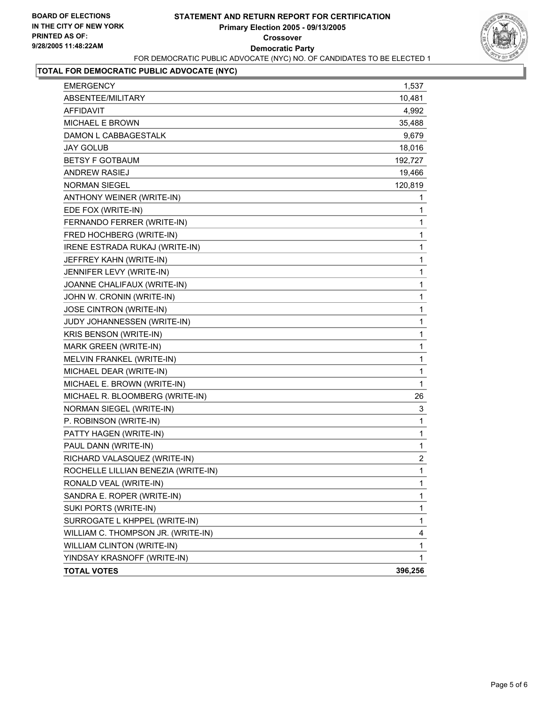

## **TOTAL FOR DEMOCRATIC PUBLIC ADVOCATE (NYC)**

| <b>EMERGENCY</b>                    | 1,537            |
|-------------------------------------|------------------|
| ABSENTEE/MILITARY                   | 10,481           |
| <b>AFFIDAVIT</b>                    | 4,992            |
| MICHAEL E BROWN                     | 35,488           |
| DAMON L CABBAGESTALK                | 9,679            |
| <b>JAY GOLUB</b>                    | 18,016           |
| <b>BETSY F GOTBAUM</b>              | 192,727          |
| <b>ANDREW RASIEJ</b>                | 19,466           |
| <b>NORMAN SIEGEL</b>                | 120,819          |
| ANTHONY WEINER (WRITE-IN)           | 1                |
| EDE FOX (WRITE-IN)                  | 1                |
| FERNANDO FERRER (WRITE-IN)          | 1                |
| FRED HOCHBERG (WRITE-IN)            | 1                |
| IRENE ESTRADA RUKAJ (WRITE-IN)      | 1                |
| JEFFREY KAHN (WRITE-IN)             | 1                |
| JENNIFER LEVY (WRITE-IN)            | 1                |
| JOANNE CHALIFAUX (WRITE-IN)         | 1                |
| JOHN W. CRONIN (WRITE-IN)           | 1                |
| JOSE CINTRON (WRITE-IN)             | 1                |
| JUDY JOHANNESSEN (WRITE-IN)         | 1                |
| KRIS BENSON (WRITE-IN)              | 1                |
| MARK GREEN (WRITE-IN)               | 1                |
| MELVIN FRANKEL (WRITE-IN)           | 1                |
| MICHAEL DEAR (WRITE-IN)             | 1                |
| MICHAEL E. BROWN (WRITE-IN)         | $\mathbf{1}$     |
| MICHAEL R. BLOOMBERG (WRITE-IN)     | 26               |
| NORMAN SIEGEL (WRITE-IN)            | 3                |
| P. ROBINSON (WRITE-IN)              | 1                |
| PATTY HAGEN (WRITE-IN)              | 1                |
| PAUL DANN (WRITE-IN)                | 1                |
| RICHARD VALASQUEZ (WRITE-IN)        | $\boldsymbol{2}$ |
| ROCHELLE LILLIAN BENEZIA (WRITE-IN) | 1                |
| RONALD VEAL (WRITE-IN)              | 1                |
| SANDRA E. ROPER (WRITE-IN)          | 1                |
| SUKI PORTS (WRITE-IN)               | 1                |
| SURROGATE L KHPPEL (WRITE-IN)       | 1                |
| WILLIAM C. THOMPSON JR. (WRITE-IN)  | 4                |
| WILLIAM CLINTON (WRITE-IN)          | 1                |
| YINDSAY KRASNOFF (WRITE-IN)         | 1                |
| <b>TOTAL VOTES</b>                  | 396,256          |
|                                     |                  |